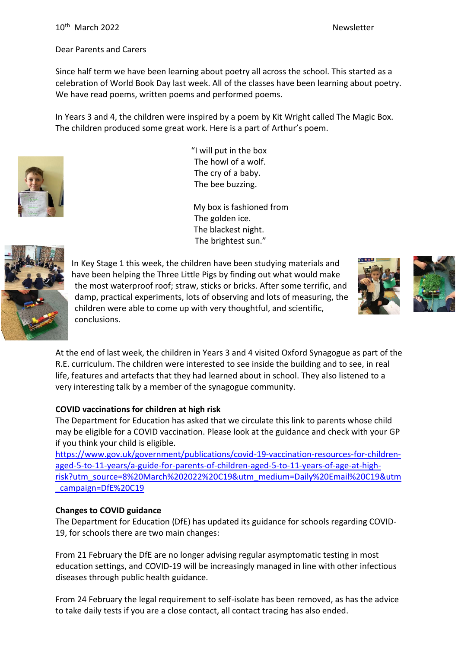## Dear Parents and Carers

Since half term we have been learning about poetry all across the school. This started as a celebration of World Book Day last week. All of the classes have been learning about poetry. We have read poems, written poems and performed poems.

In Years 3 and 4, the children were inspired by a poem by Kit Wright called The Magic Box. The children produced some great work. Here is a part of Arthur's poem.



"I will put in the box The howl of a wolf. The cry of a baby. The bee buzzing.

 My box is fashioned from The golden ice. The blackest night. The brightest sun."



In Key Stage 1 this week, the children have been studying materials and have been helping the Three Little Pigs by finding out what would make the most waterproof roof; straw, sticks or bricks. After some terrific, and damp, practical experiments, lots of observing and lots of measuring, the children were able to come up with very thoughtful, and scientific, conclusions.





At the end of last week, the children in Years 3 and 4 visited Oxford Synagogue as part of the R.E. curriculum. The children were interested to see inside the building and to see, in real life, features and artefacts that they had learned about in school. They also listened to a very interesting talk by a member of the synagogue community.

## **COVID vaccinations for children at high risk**

The Department for Education has asked that we circulate this link to parents whose child may be eligible for a COVID vaccination. Please look at the guidance and check with your GP if you think your child is eligible.

[https://www.gov.uk/government/publications/covid-19-vaccination-resources-for-children](https://www.gov.uk/government/publications/covid-19-vaccination-resources-for-children-aged-5-to-11-years/a-guide-for-parents-of-children-aged-5-to-11-years-of-age-at-high-risk?utm_source=8%20March%202022%20C19&utm_medium=Daily%20Email%20C19&utm_campaign=DfE%20C19)[aged-5-to-11-years/a-guide-for-parents-of-children-aged-5-to-11-years-of-age-at-high](https://www.gov.uk/government/publications/covid-19-vaccination-resources-for-children-aged-5-to-11-years/a-guide-for-parents-of-children-aged-5-to-11-years-of-age-at-high-risk?utm_source=8%20March%202022%20C19&utm_medium=Daily%20Email%20C19&utm_campaign=DfE%20C19)[risk?utm\\_source=8%20March%202022%20C19&utm\\_medium=Daily%20Email%20C19&utm](https://www.gov.uk/government/publications/covid-19-vaccination-resources-for-children-aged-5-to-11-years/a-guide-for-parents-of-children-aged-5-to-11-years-of-age-at-high-risk?utm_source=8%20March%202022%20C19&utm_medium=Daily%20Email%20C19&utm_campaign=DfE%20C19) [\\_campaign=DfE%20C19](https://www.gov.uk/government/publications/covid-19-vaccination-resources-for-children-aged-5-to-11-years/a-guide-for-parents-of-children-aged-5-to-11-years-of-age-at-high-risk?utm_source=8%20March%202022%20C19&utm_medium=Daily%20Email%20C19&utm_campaign=DfE%20C19)

## **Changes to COVID guidance**

The Department for Education (DfE) has updated its guidance for schools regarding COVID-19, for schools there are two main changes:

From 21 February the DfE are no longer advising regular asymptomatic testing in most education settings, and COVID-19 will be increasingly managed in line with other infectious diseases through public health guidance.

From 24 February the legal requirement to self-isolate has been removed, as has the advice to take daily tests if you are a close contact, all contact tracing has also ended.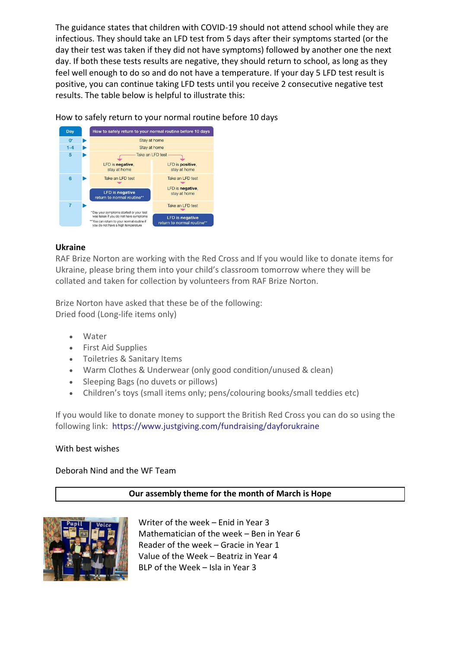The guidance states that children with COVID-19 should not attend school while they are infectious. They should take an LFD test from 5 days after their symptoms started (or the day their test was taken if they did not have symptoms) followed by another one the next day. If both these tests results are negative, they should return to school, as long as they feel well enough to do so and do not have a temperature. If your day 5 LFD test result is positive, you can continue taking LFD tests until you receive 2 consecutive negative test results. The table below is helpful to illustrate this:



How to safely return to your normal routine before 10 days

## **Ukraine**

RAF Brize Norton are working with the Red Cross and If you would like to donate items for Ukraine, please bring them into your child's classroom tomorrow where they will be collated and taken for collection by volunteers from RAF Brize Norton.

Brize Norton have asked that these be of the following: Dried food (Long-life items only)

- Water
- First Aid Supplies
- Toiletries & Sanitary Items
- Warm Clothes & Underwear (only good condition/unused & clean)
- Sleeping Bags (no duvets or pillows)
- Children's toys (small items only; pens/colouring books/small teddies etc)

If you would like to donate money to support the British Red Cross you can do so using the following link: https://www.justgiving.com/fundraising/dayforukraine

### With best wishes

Deborah Nind and the WF Team

### **Our assembly theme for the month of March is Hope**



Writer of the week – Enid in Year 3 Mathematician of the week – Ben in Year 6 Reader of the week – Gracie in Year 1 Value of the Week – Beatriz in Year 4 BLP of the Week – Isla in Year 3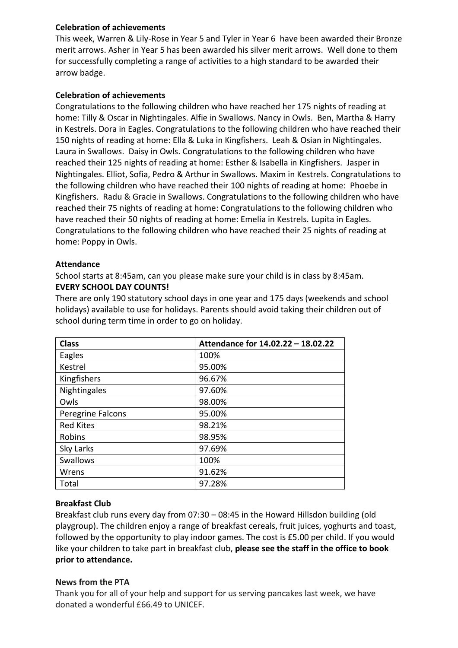## **Celebration of achievements**

This week, Warren & Lily-Rose in Year 5 and Tyler in Year 6 have been awarded their Bronze merit arrows. Asher in Year 5 has been awarded his silver merit arrows. Well done to them for successfully completing a range of activities to a high standard to be awarded their arrow badge.

## **Celebration of achievements**

Congratulations to the following children who have reached her 175 nights of reading at home: Tilly & Oscar in Nightingales. Alfie in Swallows. Nancy in Owls. Ben, Martha & Harry in Kestrels. Dora in Eagles. Congratulations to the following children who have reached their 150 nights of reading at home: Ella & Luka in Kingfishers. Leah & Osian in Nightingales. Laura in Swallows. Daisy in Owls. Congratulations to the following children who have reached their 125 nights of reading at home: Esther & Isabella in Kingfishers. Jasper in Nightingales. Elliot, Sofia, Pedro & Arthur in Swallows. Maxim in Kestrels. Congratulations to the following children who have reached their 100 nights of reading at home: Phoebe in Kingfishers. Radu & Gracie in Swallows. Congratulations to the following children who have reached their 75 nights of reading at home: Congratulations to the following children who have reached their 50 nights of reading at home: Emelia in Kestrels. Lupita in Eagles. Congratulations to the following children who have reached their 25 nights of reading at home: Poppy in Owls.

### **Attendance**

School starts at 8:45am, can you please make sure your child is in class by 8:45am. **EVERY SCHOOL DAY COUNTS!**

There are only 190 statutory school days in one year and 175 days (weekends and school holidays) available to use for holidays. Parents should avoid taking their children out of school during term time in order to go on holiday.

| <b>Class</b>      | Attendance for 14.02.22 - 18.02.22 |
|-------------------|------------------------------------|
| Eagles            | 100%                               |
| Kestrel           | 95.00%                             |
| Kingfishers       | 96.67%                             |
| Nightingales      | 97.60%                             |
| Owls              | 98.00%                             |
| Peregrine Falcons | 95.00%                             |
| <b>Red Kites</b>  | 98.21%                             |
| Robins            | 98.95%                             |
| Sky Larks         | 97.69%                             |
| Swallows          | 100%                               |
| Wrens             | 91.62%                             |
| Total             | 97.28%                             |

## **Breakfast Club**

Breakfast club runs every day from 07:30 – 08:45 in the Howard Hillsdon building (old playgroup). The children enjoy a range of breakfast cereals, fruit juices, yoghurts and toast, followed by the opportunity to play indoor games. The cost is £5.00 per child. If you would like your children to take part in breakfast club, **please see the staff in the office to book prior to attendance.**

## **News from the PTA**

Thank you for all of your help and support for us serving pancakes last week, we have donated a wonderful £66.49 to UNICEF.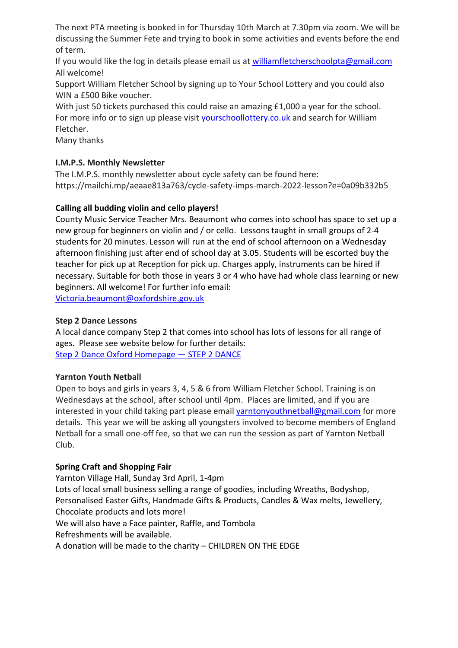The next PTA meeting is booked in for Thursday 10th March at 7.30pm via zoom. We will be discussing the Summer Fete and trying to book in some activities and events before the end of term.

If you would like the log in details please email us at [williamfletcherschoolpta@gmail.com](mailto:williamfletcherschoolpta@gmail.com) All welcome!

Support William Fletcher School by signing up to Your School Lottery and you could also WIN a £500 Bike voucher.

With just 50 tickets purchased this could raise an amazing £1,000 a year for the school. For more info or to sign up please visit [yourschoollottery.co.uk](http://yourschoollottery.co.uk/) and search for William Fletcher.

Many thanks

# **I.M.P.S. Monthly Newsletter**

The I.M.P.S. monthly newsletter about cycle safety can be found here: https://mailchi.mp/aeaae813a763/cycle-safety-imps-march-2022-lesson?e=0a09b332b5

# **Calling all budding violin and cello players!**

County Music Service Teacher Mrs. Beaumont who comes into school has space to set up a new group for beginners on violin and / or cello. Lessons taught in small groups of 2-4 students for 20 minutes. Lesson will run at the end of school afternoon on a Wednesday afternoon finishing just after end of school day at 3.05. Students will be escorted buy the teacher for pick up at Reception for pick up. Charges apply, instruments can be hired if necessary. Suitable for both those in years 3 or 4 who have had whole class learning or new beginners. All welcome! For further info email:

[Victoria.beaumont@oxfordshire.gov.uk](mailto:Victoria.beaumont@oxfordshire.gov.uk)

## **Step 2 Dance Lessons**

A local dance company Step 2 that comes into school has lots of lessons for all range of ages. Please see website below for further details: [Step 2 Dance Oxford Homepage](https://www.step2dance.co.uk/home) — STEP 2 DANCE

## **Yarnton Youth Netball**

Open to boys and girls in years 3, 4, 5 & 6 from William Fletcher School. Training is on Wednesdays at the school, after school until 4pm. Places are limited, and if you are interested in your child taking part please email [yarntonyouthnetball@gmail.com](mailto:yarntonyouthnetball@gmail.com) for more details. This year we will be asking all youngsters involved to become members of England Netball for a small one-off fee, so that we can run the session as part of Yarnton Netball Club.

# **Spring Craft and Shopping Fair**

Yarnton Village Hall, Sunday 3rd April, 1-4pm Lots of local small business selling a range of goodies, including Wreaths, Bodyshop, Personalised Easter Gifts, Handmade Gifts & Products, Candles & Wax melts, Jewellery, Chocolate products and lots more! We will also have a Face painter, Raffle, and Tombola Refreshments will be available. A donation will be made to the charity – CHILDREN ON THE EDGE